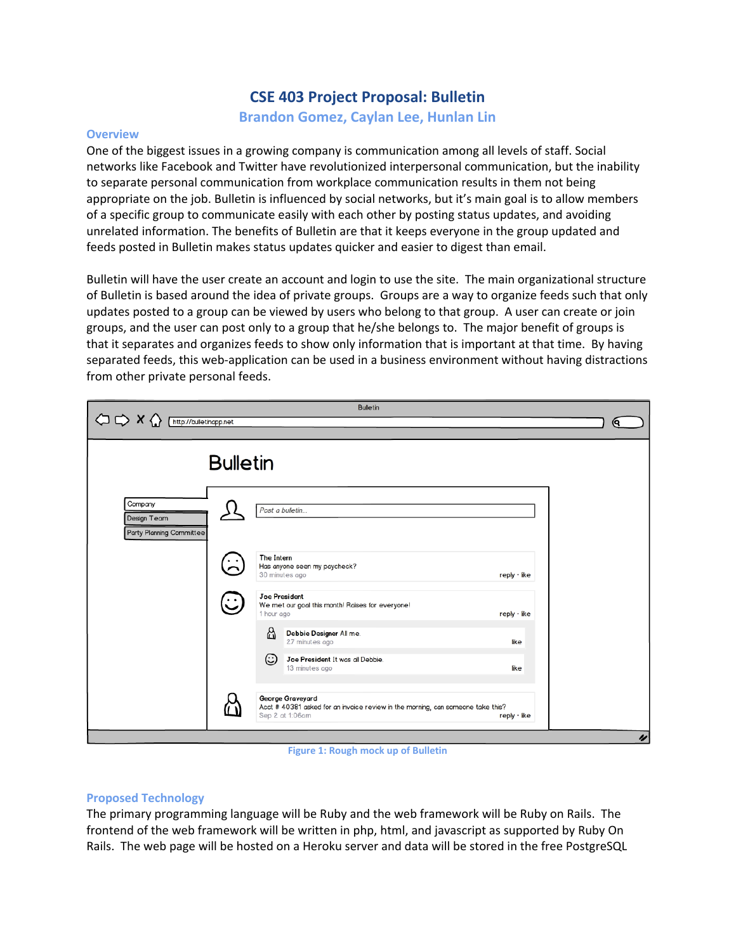# **CSE 403 Project Proposal: Bulletin**

**Brandon Gomez, Caylan Lee, Hunlan Lin**

#### **Overview**

One of the biggest issues in a growing company is communication among all levels of staff. Social networks like Facebook and Twitter have revolutionized interpersonal communication, but the inability to separate personal communication from workplace communication results in them not being appropriate on the job. Bulletin is influenced by social networks, but it's main goal is to allow members of a specific group to communicate easily with each other by posting status updates, and avoiding unrelated information. The benefits of Bulletin are that it keeps everyone in the group updated and feeds posted in Bulletin makes status updates quicker and easier to digest than email.

Bulletin will have the user create an account and login to use the site. The main organizational structure of Bulletin is based around the idea of private groups. Groups are a way to organize feeds such that only updates posted to a group can be viewed by users who belong to that group. A user can create or join groups, and the user can post only to a group that he/she belongs to. The major benefit of groups is that it separates and organizes feeds to show only information that is important at that time. By having separated feeds, this web-application can be used in a business environment without having distractions from other private personal feeds.

| <b>Bulletin</b><br>$\bigcirc \circ \times \bigcirc$<br>http://bulletinapp.net<br>Θ. |   |                                                                                                                                        |    |
|-------------------------------------------------------------------------------------|---|----------------------------------------------------------------------------------------------------------------------------------------|----|
| <b>Bulletin</b>                                                                     |   |                                                                                                                                        |    |
| Company<br>Design Team<br>Party Planning Committee                                  |   | Post a bulletin                                                                                                                        |    |
|                                                                                     |   | The Intern<br>Has anyone seen my paycheck?<br>30 minutes ago<br>$reply \cdot like$                                                     |    |
|                                                                                     | ت | <b>Joe President</b><br>We met our goal this month! Raises for everyone!<br>1 hour ago<br>$reply \cdot like$                           |    |
|                                                                                     |   | ☆<br>Debbie Designer All me.<br>27 minutes ago<br>like<br>☺<br>Joe President It was all Debbie.<br>13 minutes ago<br>like              |    |
|                                                                                     |   | George Graveyard<br>Acct # 40381 asked for an invoice review in the morning, can someone take this?<br>Sep 2 at 1:06am<br>reply · like | IJ |

**Figure 1: Rough mock up of Bulletin**

### **Proposed Technology**

The primary programming language will be Ruby and the web framework will be Ruby on Rails. The frontend of the web framework will be written in php, html, and javascript as supported by Ruby On Rails. The web page will be hosted on a Heroku server and data will be stored in the free PostgreSQL